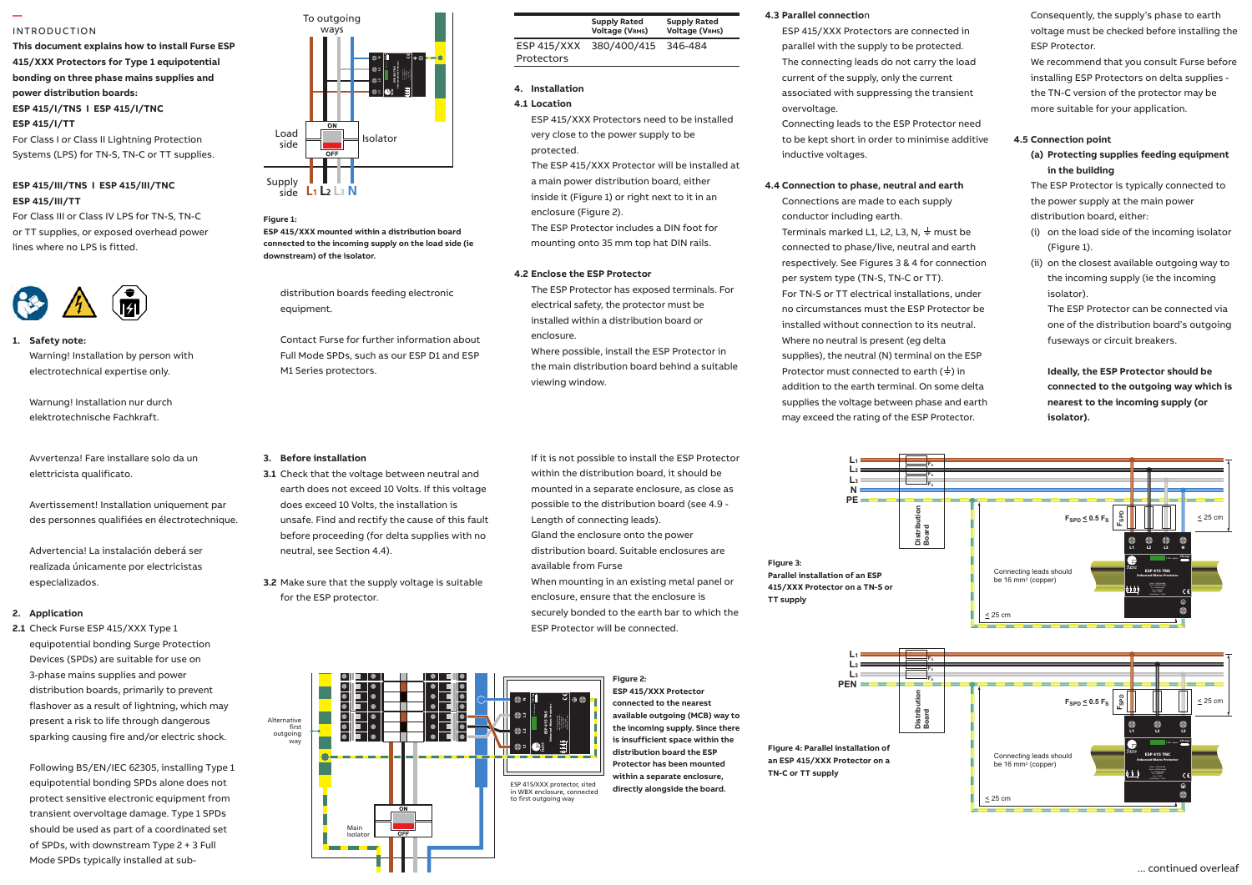#### INTRODUCTION

**—** 

**This document explains how to install Furse ESP 415/XXX Protectors for Type 1 equipotential bonding on three phase mains supplies and power distribution boards: ESP 415/I/TNS I ESP 415/I/TNC ESP 415/I/TT**

For Class I or Class II Lightning Protection Systems (LPS) for TN-S, TN-C or TT supplies.

#### **ESP 415/III/TNS I ESP 415/III/TNC ESP 415/III/TT**

For Class III or Class IV LPS for TN-S, TN-C or TT supplies, or exposed overhead power lines where no LPS is fitted.



## **1. Safety note:** Safety note:

Warning! Installation by person with electrotechnical expertise only. - on the closest available out going way to

Warnung! Installation nur durch elektrotechnische Fachkraft. 1.7 The connecting leads to phase/live

elettricista qualificato. Avvertenza! Fare installare solo da un multi-stranded copper conductor

Avertissement! Installation uniquement par do des personnes qualifiées en électrotechnique. 
van

Advertencia! La instalación deberá ser **como a stora**no realizada únicamente por electricistas 1.1 Install protectors very close to the power close especializados.

### distribution panel or directly alongside it. **2. Application**

Devices (SPDs) are suitable for use on 2.1 Check Furse ESP 415/XXX Type 1 equipotential bonding Surge Protection  $\frac{1}{2}$ 3-phase mains supplies and power distribution boards, primarily to prevent flashover as a result of lightning, which may present a risk to life through dangerous sparking causing fire and/or electric shock.

Following BS/EN/IEC 62305, installing Type 1 equipotential bonding SPDs alone does not protect sensitive electronic equipment from transient overvoltage damage. Type 1 SPDs should be used as part of a coordinated set of SPDs, with downstream Type 2 + 3 Full Mode SPDs typically installed at sub-





distribution boards feeding electronic equipment.

Contact Furse for further information about Full Mode SPDs, such as our ESP D1 and ESP M1 Series protectors.

#### **3. Before installation**

**3.1** Check that the voltage between neutral and  $\epsilon$ remote display variant which permits earth does not exceed 10 Volts. If this voltage does exceed 10 Volts, the installation is unsafe. Find and rectify the cause of this fault before proceeding (for delta supplies with no neutral, see Section 4.4).

for the ESP protector. **3.2** Make sure that the supply voltage is suitable

> Main Isolator

Gland the enclosure onto the power distribution board. Suitable enclosures are available from Furse When mounting in an existing metal panel or enclosure, ensure that the enclosure is securely bonded to the earth bar to which the

**Supply Rated Voltage (VRMS)**

380/400/415 346-484

ESP 415/XXX Protectors need to be installed very close to the power supply to be

The ESP 415/XXX Protector will be installed at a main power distribution board, either inside it (Figure 1) or right next to it in an

The ESP Protector includes a DIN foot for mounting onto 35 mm top hat DIN rails.

The ESP Protector has exposed terminals. For electrical safety, the protector must be installed within a distribution board or

Where possible, install the ESP Protector in the main distribution board behind a suitable

If it is not possible to install the ESP Protector within the distribution board, it should be mounted in a separate enclosure, as close as possible to the distribution board (see 4.9 -

Length of connecting leads).

ESP Protector will be connected.

**Figure 2:** 

 $ESP$  415/XXX Protectors

**4. Installation 4.1 Location**

protected.

enclosure.

viewing window.

enclosure (Figure 2).

**4.2 Enclose the ESP Protector**

**Supply Rated Voltage (VRMS)**



ESP 415/XXX Protectors are connected in parallel with the supply to be protected. The connecting leads do not carry the load current of the supply, only the current associated with suppressing the transient overvoltage.

Connecting leads to the ESP Protector need to be kept short in order to minimise additive inductive voltages.

#### **4.4 Connection to phase, neutral and earth**

Connections are made to each supply conductor including earth. Terminals marked L1, L2, L3, N,  $\frac{1}{2}$  must be connected to phase/live, neutral and earth respectively. See Figures 3 & 4 for connection per system type (TN-S, TN-C or TT). For TN-S or TT electrical installations, under no circumstances must the ESP Protector be installed without connection to its neutral. Where no neutral is present (eg delta supplies), the neutral (N) terminal on the ESP Protector must connected to earth  $(\frac{1}{2})$  in addition to the earth terminal. On some delta supplies the voltage between phase and earth may exceed the rating of the ESP Protector.

Consequently, the supply's phase to earth voltage must be checked before installing the ESP Protector.

We recommend that you consult Furse before installing ESP Protectors on delta supplies the TN-C version of the protector may be more suitable for your application.

#### **4.5 Connection point**

#### **(a) Protecting supplies feeding equipment in the building**

The ESP Protector is typically connected to the power supply at the main power distribution board, either:

- (i) on the load side of the incoming isolator (Figure 1).
- (ii) on the closest available outgoing way to the incoming supply (ie the incoming isolator).
	- The ESP Protector can be connected via one of the distribution board's outgoing fuseways or circuit breakers.

 **Ideally, the ESP Protector should be connected to the outgoing way which is nearest to the incoming supply (or isolator).**





 $\begin{tabular}{c|c|c|c|c|c|c|c|c} \hline \multicolumn{3}{|c|}{\textbf{}} & \multicolumn{3}{|c|}{\textbf{}} \\ \multicolumn{3}{|c|}{\textbf{}} & \multicolumn{3}{|c|}{\textbf{}} & \multicolumn{3}{|c|}{\textbf{}} \\ \multicolumn{3}{|c|}{\textbf{}} & \multicolumn{3}{|c|}{\textbf{}} & \multicolumn{3}{|c|}{\textbf{}} \\ \multicolumn{3}{|c|}{\textbf{}} & \multicolumn{3}{|c|}{\textbf{}} & \multicolumn{3}{|c|}{\textbf{}} \\ \multicolumn{3$  $\frac{1}{\bullet}$ Ī. τ **in WBX enclosure, connected**<br>to first outgoing way<br>the first outgoing way<br>to first outgoing way expected<br>to first outgoing way ਜ∣• ∣∙ Alternative ⊓∙  $\blacksquare$ Ŀ first outgoing way ESP 415/XXX protector, sited

**ESP 415/XXX Protector connected to the nearest available outgoing (MCB) way to the incoming supply. Since there is insufficient space within the distribution board the ESP Protector has been mounted within a separate enclosure, directly alongside the board.**